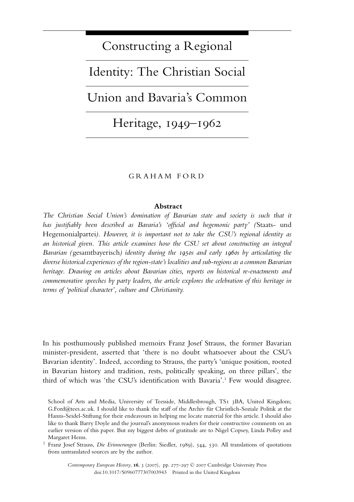# Constructing a Regional

## Identity: The Christian Social

## Union and Bavaria's Common

# Heritage, 1949–1962

### GRAHAM FORD

#### **Abstract**

*The Christian Social Union's domination of Bavarian state and society is such that it has justifiably been described as Bavaria's 'official and hegemonic party' (*Staats- und Hegemonialpartei*). However, it is important not to take the CSU's regional identity as an historical given. This article examines how the CSU set about constructing an integral Bavarian (*gesamtbayerisch*) identity during the 1950s and early 1960s by articulating the diverse historical experiences of the region-state's localities and sub-regions as a common Bavarian heritage. Drawing on articles about Bavarian cities, reports on historical re-enactments and commemorative speeches by party leaders, the article explores the celebration of this heritage in terms of 'political character', culture and Christianity.*

In his posthumously published memoirs Franz Josef Strauss, the former Bavarian minister-president, asserted that 'there is no doubt whatsoever about the CSU's Bavarian identity'. Indeed, according to Strauss, the party's 'unique position, rooted in Bavarian history and tradition, rests, politically speaking, on three pillars', the third of which was 'the CSU's identification with Bavaria'.1 Few would disagree.

School of Arts and Media, University of Teesside, Middlesbrough, TS1 3BA, United Kingdom; G.Ford@tees.ac.uk. I should like to thank the staff of the Archiv für Christlich-Soziale Politik at the Hanns-Seidel-Stiftung for their endeavours in helping me locate material for this article. I should also like to thank Barry Doyle and the journal's anonymous readers for their constructive comments on an earlier version of this paper. But my biggest debts of gratitude are to Nigel Copsey, Linda Polley and Margaret Hems.

<sup>1</sup> Franz Josef Strauss, *Die Erinnerungen* (Berlin: Siedler, 1989), 544, 530. All translations of quotations from untranslated sources are by the author.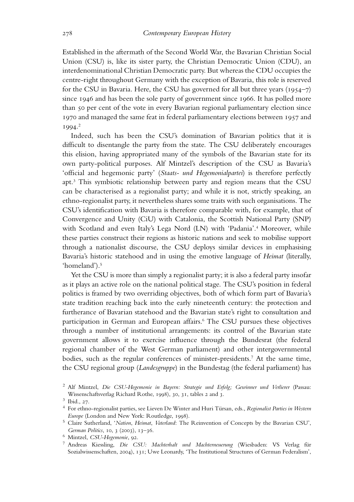Established in the aftermath of the Second World War, the Bavarian Christian Social Union (CSU) is, like its sister party, the Christian Democratic Union (CDU), an interdenominational Christian Democratic party. But whereas the CDU occupies the centre-right throughout Germany with the exception of Bavaria, this role is reserved for the CSU in Bavaria. Here, the CSU has governed for all but three years  $(1954-7)$ since 1946 and has been the sole party of government since 1966. It has polled more than 50 per cent of the vote in every Bavarian regional parliamentary election since 1970 and managed the same feat in federal parliamentary elections between 1957 and 1994. 2

Indeed, such has been the CSU's domination of Bavarian politics that it is difficult to disentangle the party from the state. The CSU deliberately encourages this elision, having appropriated many of the symbols of the Bavarian state for its own party-political purposes. Alf Mintzel's description of the CSU as Bavaria's 'official and hegemonic party' (*Staats- und Hegemonialpartei*) is therefore perfectly apt.3 This symbiotic relationship between party and region means that the CSU can be characterised as a regionalist party; and while it is not, strictly speaking, an ethno-regionalist party, it nevertheless shares some traits with such organisations. The CSU's identification with Bavaria is therefore comparable with, for example, that of Convergence and Unity (CiU) with Catalonia, the Scottish National Party (SNP) with Scotland and even Italy's Lega Nord (LN) with 'Padania'.4 Moreover, while these parties construct their regions as historic nations and seek to mobilise support through a nationalist discourse, the CSU deploys similar devices in emphasising Bavaria's historic statehood and in using the emotive language of *Heimat* (literally, 'homeland').5

Yet the CSU is more than simply a regionalist party; it is also a federal party insofar as it plays an active role on the national political stage. The CSU's position in federal politics is framed by two overriding objectives, both of which form part of Bavaria's state tradition reaching back into the early nineteenth century: the protection and furtherance of Bavarian statehood and the Bavarian state's right to consultation and participation in German and European affairs.<sup>6</sup> The CSU pursues these objectives through a number of institutional arrangements: its control of the Bavarian state government allows it to exercise influence through the Bundesrat (the federal regional chamber of the West German parliament) and other intergovernmental bodies, such as the regular conferences of minister-presidents.7 At the same time, the CSU regional group (*Landesgruppe*) in the Bundestag (the federal parliament) has

<sup>2</sup> Alf Mintzel, *Die CSU-Hegemonie in Bayern: Strategie und Erfolg; Gewinner und Verlierer* (Passau: Wissenschaftsverlag Richard Rothe, 1998), 30, 31, tables 2 and 3.

<sup>3</sup> Ibid., 27.

<sup>&</sup>lt;sup>4</sup> For ethno-regionalist parties, see Lieven De Winter and Huri Türsan, eds., *Regionalist Parties in Western Europe* (London and New York: Routledge, 1998).

<sup>5</sup> Claire Sutherland, '*Nation*, *Heimat*, *Vaterland*: The Reinvention of Concepts by the Bavarian CSU', *German Politics*, 10, 3 (2003), 13–36.

<sup>6</sup> Mintzel, *CSU-Hegemonie*, 92.

<sup>&</sup>lt;sup>7</sup> Andreas Kiessling, *Die CSU: Machterhalt und Machterneuerung* (Wiesbaden: VS Verlag für Sozialwissenschaften, 2004), 131; Uwe Leonardy, 'The Institutional Structures of German Federalism',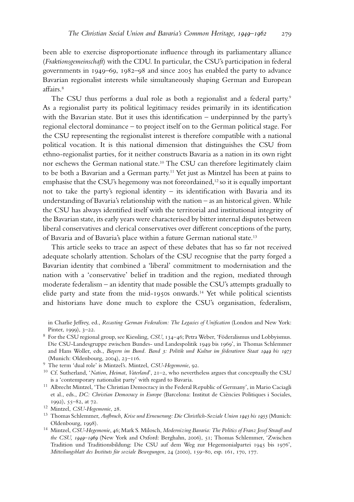been able to exercise disproportionate influence through its parliamentary alliance (*Fraktionsgemeinschaft*) with the CDU. In particular, the CSU's participation in federal governments in 1949–69, 1982–98 and since 2005 has enabled the party to advance Bavarian regionalist interests while simultaneously shaping German and European affairs.8

The CSU thus performs a dual role as both a regionalist and a federal party.<sup>9</sup> As a regionalist party its political legitimacy resides primarily in its identification with the Bavarian state. But it uses this identification – underpinned by the party's regional electoral dominance – to project itself on to the German political stage. For the CSU representing the regionalist interest is therefore compatible with a national political vocation. It is this national dimension that distinguishes the CSU from ethno-regionalist parties, for it neither constructs Bavaria as a nation in its own right nor eschews the German national state.10 The CSU can therefore legitimately claim to be both a Bavarian and a German party.11 Yet just as Mintzel has been at pains to emphasise that the CSU's hegemony was not foreordained,<sup>12</sup> so it is equally important not to take the party's regional identity – its identification with Bavaria and its understanding of Bavaria's relationship with the nation  $-$  as an historical given. While the CSU has always identified itself with the territorial and institutional integrity of the Bavarian state, its early years were characterised by bitter internal disputes between liberal conservatives and clerical conservatives over different conceptions of the party, of Bavaria and of Bavaria's place within a future German national state.13

This article seeks to trace an aspect of these debates that has so far not received adequate scholarly attention. Scholars of the CSU recognise that the party forged a Bavarian identity that combined a 'liberal' commitment to modernisation and the nation with a 'conservative' belief in tradition and the region, mediated through moderate federalism – an identity that made possible the CSU's attempts gradually to elide party and state from the mid-1950s onwards.14 Yet while political scientists and historians have done much to explore the CSU's organisation, federalism,

- 8 For the CSU regional group, see Kiessling, *CSU*, 134-46; Petra Weber, 'Föderalismus und Lobbyismus. Die CSU-Landesgruppe zwischen Bundes- und Landespolitik 1949 bis 1969', in Thomas Schlemmer and Hans Woller, eds., *Bayern im Bund. Band 3: Politik und Kultur im föderativen Staat 1949 bis 1973* (Munich: Oldenbourg, 2004), 23–116.
- <sup>9</sup> The term 'dual role' is Mintzel's. Mintzel, *CSU-Hegemonie*, 92.
- <sup>10</sup> Cf. Sutherland, '*Nation*, *Heimat*, *Vaterland*', 21–2, who nevertheless argues that conceptually the CSU is a 'contemporary nationalist party' with regard to Bavaria.
- <sup>11</sup> Albrecht Mintzel, 'The Christian Democracy in the Federal Republic of Germany', in Mario Caciagli et al., eds., *DC: Christian Democracy in Europe* (Barcelona: Institut de Ciencies Politiques i Sociales, ` 1992), 55–82, at 72.
- <sup>12</sup> Mintzel, *CSU-Hegemonie*, 28.
- <sup>13</sup> Thomas Schlemmer, *Aufbruch, Krise und Erneuerung: Die Christlich-Soziale Union 1945 bis 1955* (Munich: Oldenbourg, 1998).
- <sup>14</sup> Mintzel, *CSU-Hegemonie*, 46; Mark S. Milosch, *Modernizing Bavaria: The Politics of Franz Josef Strauß and the CSU, 1949–1969* (New York and Oxford: Berghahn, 2006), 51; Thomas Schlemmer, 'Zwischen Tradition und Traditionsbildung: Die CSU auf dem Weg zur Hegemonialpartei 1945 bis 1976', *Mitteilungsblatt des Instituts für soziale Bewegungen, 24 (2000), 159–80, esp. 161, 170, 177.*

in Charlie Jeffrey, ed., *Recasting German Federalism: The Legacies of Unification* (London and New York: Pinter, 1999), 3–22.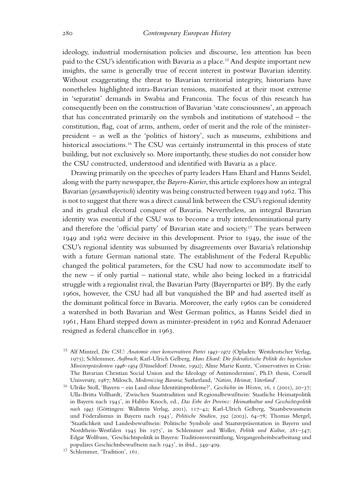ideology, industrial modernisation policies and discourse, less attention has been paid to the CSU's identification with Bavaria as a place.15 And despite important new insights, the same is generally true of recent interest in postwar Bavarian identity. Without exaggerating the threat to Bavarian territorial integrity, historians have nonetheless highlighted intra-Bavarian tensions, manifested at their most extreme in 'separatist' demands in Swabia and Franconia. The focus of this research has consequently been on the construction of Bavarian 'state consciousness', an approach that has concentrated primarily on the symbols and institutions of statehood – the constitution, flag, coat of arms, anthem, order of merit and the role of the ministerpresident – as well as the 'politics of history', such as museums, exhibitions and historical associations.<sup>16</sup> The CSU was certainly instrumental in this process of state building, but not exclusively so. More importantly, these studies do not consider how the CSU constructed, understood and identified with Bavaria as a place.

Drawing primarily on the speeches of party leaders Hans Ehard and Hanns Seidel, along with the party newspaper, the *Bayern-Kurier*, this article explores how an integral Bavarian (*gesamtbayerisch*) identity was being constructed between 1949 and 1962. This is not to suggest that there was a direct causal link between the CSU's regional identity and its gradual electoral conquest of Bavaria. Nevertheless, an integral Bavarian identity was essential if the CSU was to become a truly interdenominational party and therefore the 'official party' of Bavarian state and society.17 The years between 1949 and 1962 were decisive in this development. Prior to 1949, the issue of the CSU's regional identity was subsumed by disagreements over Bavaria's relationship with a future German national state. The establishment of the Federal Republic changed the political parameters, for the CSU had now to accommodate itself to the new – if only partial – national state, while also being locked in a fratricidal struggle with a regionalist rival, the Bavarian Party (Bayernpartei or BP). By the early 1960s, however, the CSU had all but vanquished the BP and had asserted itself as the dominant political force in Bavaria. Moreover, the early 1960s can be considered a watershed in both Bavarian and West German politics, as Hanns Seidel died in 1961, Hans Ehard stepped down as minister-president in 1962 and Konrad Adenauer resigned as federal chancellor in 1963.

- <sup>15</sup> Alf Mintzel, *Die CSU: Anatomie einer konservativen Partei 1945–1972* (Opladen: Westdeutscher Verlag, 1975); Schlemmer, *Aufbruch*; Karl-Ulrich Gelberg, *Hans Ehard: Die foderalistische Politik des bayerischen ¨ Ministerpräsidenten 1946–1954* (Düsseldorf: Droste, 1992); Aline Marie Kuntz, 'Conservatives in Crisis: The Bavarian Christian Social Union and the Ideology of Antimodernism', Ph.D. thesis, Cornell University, 1987; Milosch, *Modernizing Bavaria*; Sutherland, '*Nation*, *Heimat*, *Vaterland*'.
- <sup>16</sup> Ulrike Stoll, 'Bayern ein Land ohne Identitätsprobleme?', Geschichte im Westen, 16, 1 (2001), 20–37; Ulla-Britta Vollhardt, 'Zwischen Staatstradition und Regionalbewußtsein: Staatliche Heimatpolitik in Bayern nach 1945', in Habbo Knoch, ed., *Das Erbe der Provinz: Heimatkultur und Geschichtspolitik* nach 1945 (Göttingen: Wallstein Verlag, 2001), 117-42; Karl-Ulrich Gelberg, 'Staatsbewusstsein und Föderalismus in Bayern nach 1945', *Politische Studien*, 392 (2003), 64–78; Thomas Mergel, 'Staatlichkeit und Landesbewußtsein: Politische Symbole und Staatsrepräsentation in Bayern und Nordrhein-Westfalen 1945 bis 1975', in Schlemmer and Woller, *Politik und Kultur*, 281–347; Edgar Wolfrum, 'Geschichtspolitik in Bayern: Traditionsvermittlung, Vergangenheitsbearbeitung und populäres Geschichtsbewußtsein nach 1945', in ibid., 349-409.
- <sup>17</sup> Schlemmer, 'Tradition', 161.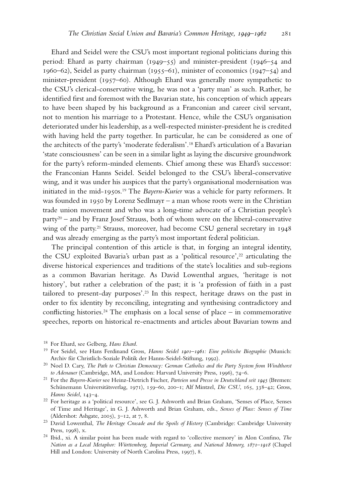Ehard and Seidel were the CSU's most important regional politicians during this period: Ehard as party chairman (1949–55) and minister-president (1946–54 and 1960–62), Seidel as party chairman (1955–61), minister of economics (1947–54) and minister-president (1957–60). Although Ehard was generally more sympathetic to the CSU's clerical-conservative wing, he was not a 'party man' as such. Rather, he identified first and foremost with the Bavarian state, his conception of which appears to have been shaped by his background as a Franconian and career civil servant, not to mention his marriage to a Protestant. Hence, while the CSU's organisation deteriorated under his leadership, as a well-respected minister-president he is credited with having held the party together. In particular, he can be considered as one of the architects of the party's 'moderate federalism'.18 Ehard's articulation of a Bavarian 'state consciousness' can be seen in a similar light as laying the discursive groundwork for the party's reform-minded elements. Chief among these was Ehard's successor: the Franconian Hanns Seidel. Seidel belonged to the CSU's liberal-conservative wing, and it was under his auspices that the party's organisational modernisation was initiated in the mid-1950s.19 The *Bayern-Kurier* was a vehicle for party reformers. It was founded in 1950 by Lorenz Sedlmayr – a man whose roots were in the Christian trade union movement and who was a long-time advocate of a Christian people's  $party<sup>20</sup>$  – and by Franz Josef Strauss, both of whom were on the liberal-conservative wing of the party.<sup>21</sup> Strauss, moreover, had become CSU general secretary in 1948 and was already emerging as the party's most important federal politician.

The principal contention of this article is that, in forging an integral identity, the CSU exploited Bavaria's urban past as a 'political resource',22 articulating the diverse historical experiences and traditions of the state's localities and sub-regions as a common Bavarian heritage. As David Lowenthal argues, 'heritage is not history', but rather a celebration of the past; it is 'a profession of faith in a past tailored to present-day purposes'.23 In this respect, heritage draws on the past in order to fix identity by reconciling, integrating and synthesising contradictory and conflicting histories.<sup>24</sup> The emphasis on a local sense of place  $-$  in commemorative speeches, reports on historical re-enactments and articles about Bavarian towns and

- <sup>19</sup> For Seidel, see Hans Ferdinand Gross*, Hanns Seidel 1901–1961: Eine politische Biographie* (Munich: Archiv für Christlich-Soziale Politik der Hanns-Seidel-Stiftung, 1992).
- <sup>20</sup> Noel D. Cary, *The Path to Christian Democracy: German Catholics and the Party System from Windthorst to Adenauer* (Cambridge, MA, and London: Harvard University Press, 1996), 74–6.
- <sup>21</sup> For the *Bayern-Kurier* see Heinz-Dietrich Fischer, *Parteien und Presse in Deutschland seit 1945* (Bremen: Schünemann Universitätsverlag, 1971), 159–60, 200–1; Alf Mintzel, *Die CSU*, 165, 338–42; Gross, *Hanns Seidel*, 143–4.
- <sup>22</sup> For heritage as a 'political resource', see G. J. Ashworth and Brian Graham, 'Senses of Place, Senses of Time and Heritage', in G. J. Ashworth and Brian Graham, eds., *Senses of Place: Senses of Time* (Aldershot: Ashgate, 2005), 3–12, at 7, 8.
- <sup>23</sup> David Lowenthal, *The Heritage Crusade and the Spoils of History* (Cambridge: Cambridge University Press, 1998), x.
- <sup>24</sup> Ibid., xi. A similar point has been made with regard to 'collective memory' in Alon Confino, *The Nation as a Local Metaphor: Wurttemberg, Imperial Germany, and National Memory, 1871–1918 ¨* (Chapel Hill and London: University of North Carolina Press, 1997), 8.

<sup>18</sup> For Ehard, see Gelberg, *Hans Ehard*.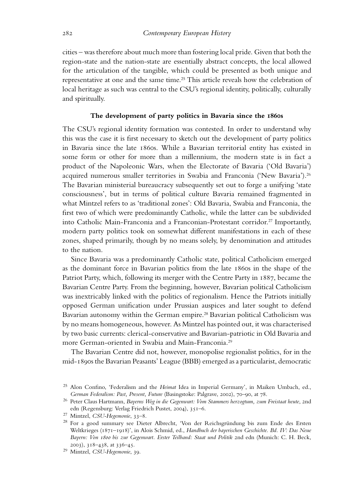cities – was therefore about much more than fostering local pride. Given that both the region-state and the nation-state are essentially abstract concepts, the local allowed for the articulation of the tangible, which could be presented as both unique and representative at one and the same time.25 This article reveals how the celebration of local heritage as such was central to the CSU's regional identity, politically, culturally and spiritually.

### **The development of party politics in Bavaria since the 1860s**

The CSU's regional identity formation was contested. In order to understand why this was the case it is first necessary to sketch out the development of party politics in Bavaria since the late 1860s. While a Bavarian territorial entity has existed in some form or other for more than a millennium, the modern state is in fact a product of the Napoleonic Wars, when the Electorate of Bavaria ('Old Bavaria') acquired numerous smaller territories in Swabia and Franconia ('New Bavaria').<sup>26</sup> The Bavarian ministerial bureaucracy subsequently set out to forge a unifying 'state consciousness', but in terms of political culture Bavaria remained fragmented in what Mintzel refers to as 'traditional zones': Old Bavaria, Swabia and Franconia, the first two of which were predominantly Catholic, while the latter can be subdivided into Catholic Main-Franconia and a Franconian-Protestant corridor.27 Importantly, modern party politics took on somewhat different manifestations in each of these zones, shaped primarily, though by no means solely, by denomination and attitudes to the nation.

Since Bavaria was a predominantly Catholic state, political Catholicism emerged as the dominant force in Bavarian politics from the late 1860s in the shape of the Patriot Party, which, following its merger with the Centre Party in 1887, became the Bavarian Centre Party. From the beginning, however, Bavarian political Catholicism was inextricably linked with the politics of regionalism. Hence the Patriots initially opposed German unification under Prussian auspices and later sought to defend Bavarian autonomy within the German empire.28 Bavarian political Catholicism was by no means homogeneous, however. As Mintzel has pointed out, it was characterised by two basic currents: clerical-conservative and Bavarian-patriotic in Old Bavaria and more German-oriented in Swabia and Main-Franconia.29

The Bavarian Centre did not, however, monopolise regionalist politics, for in the mid-1890s the Bavarian Peasants' League (BBB) emerged as a particularist, democratic

<sup>25</sup> Alon Confino, 'Federalism and the *Heimat* Idea in Imperial Germany', in Maiken Umbach, ed., *German Federalism: Past, Present, Future* (Basingstoke: Palgrave, 2002), 70–90, at 78.

<sup>&</sup>lt;sup>26</sup> Peter Claus Hartmann, *Bayerns Weg in die Gegenwart: Vom Stammers herzogtum, zum Freistaat heute*, 2nd edn (Regensburg: Verlag Friedrich Pustet, 2004), 351–6.

<sup>27</sup> Mintzel, *CSU-Hegemonie*, 33–8.

<sup>&</sup>lt;sup>28</sup> For a good summary see Dieter Albrecht, 'Von der Reichsgründung bis zum Ende des Ersten Weltkrieges (1871–1918)', in Alois Schmid, ed., *Handbuch der bayerischen Geschichte. Bd. IV: Das Neue Bayern: Von 1800 bis zur Gegenwart. Erster Teilband: Staat und Politik* 2nd edn (Munich: C. H. Beck, 2003), 318–438, at 336–45.

<sup>29</sup> Mintzel, *CSU-Hegemonie*, 39.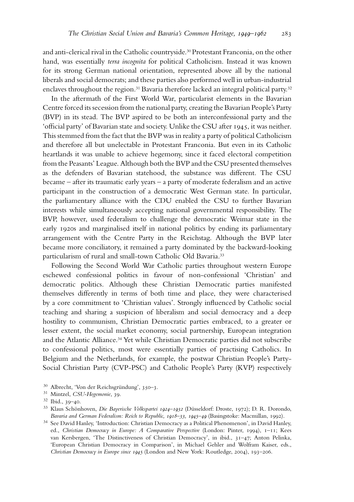and anti-clerical rival in the Catholic countryside.30 Protestant Franconia, on the other hand, was essentially *terra incognita* for political Catholicism. Instead it was known for its strong German national orientation, represented above all by the national liberals and social democrats; and these parties also performed well in urban-industrial enclaves throughout the region.<sup>31</sup> Bavaria therefore lacked an integral political party.<sup>32</sup>

In the aftermath of the First World War, particularist elements in the Bavarian Centre forced its secession from the national party, creating the Bavarian People's Party (BVP) in its stead. The BVP aspired to be both an interconfessional party and the 'official party' of Bavarian state and society. Unlike the CSU after 1945, it was neither. This stemmed from the fact that the BVP was in reality a party of political Catholicism and therefore all but unelectable in Protestant Franconia. But even in its Catholic heartlands it was unable to achieve hegemony, since it faced electoral competition from the Peasants' League. Although both the BVP and the CSU presented themselves as the defenders of Bavarian statehood, the substance was different. The CSU became – after its traumatic early years – a party of moderate federalism and an active participant in the construction of a democratic West German state. In particular, the parliamentary alliance with the CDU enabled the CSU to further Bavarian interests while simultaneously accepting national governmental responsibility. The BVP, however, used federalism to challenge the democratic Weimar state in the early 1920s and marginalised itself in national politics by ending its parliamentary arrangement with the Centre Party in the Reichstag. Although the BVP later became more conciliatory, it remained a party dominated by the backward-looking particularism of rural and small-town Catholic Old Bavaria.33

Following the Second World War Catholic parties throughout western Europe eschewed confessional politics in favour of non-confessional 'Christian' and democratic politics. Although these Christian Democratic parties manifested themselves differently in terms of both time and place, they were characterised by a core commitment to 'Christian values'. Strongly influenced by Catholic social teaching and sharing a suspicion of liberalism and social democracy and a deep hostility to communism, Christian Democratic parties embraced, to a greater or lesser extent, the social market economy, social partnership, European integration and the Atlantic Alliance.34 Yet while Christian Democratic parties did not subscribe to confessional politics, most were essentially parties of practising Catholics. In Belgium and the Netherlands, for example, the postwar Christian People's Party-Social Christian Party (CVP-PSC) and Catholic People's Party (KVP) respectively

<sup>30</sup> Albrecht, 'Von der Reichsgründung', 350-3.

<sup>31</sup> Mintzel, *CSU-Hegemonie*, 39.

<sup>32</sup> Ibid., 39–40.

<sup>&</sup>lt;sup>33</sup> Klaus Schönhoven, Die Bayerische Volkspartei 1924–1932 (Düsseldorf: Droste, 1972); D. R. Dorondo, *Bavaria and German Federalism: Reich to Republic, 1918–33, 1945–49* (Basingstoke: Macmillan, 1992).

<sup>34</sup> See David Hanley, 'Introduction: Christian Democracy as a Political Phenomenon', in David Hanley, ed., *Christian Democracy in Europe: A Comparative Perspective* (London: Pinter, 1994), 1–11; Kees van Kersbergen, 'The Distinctiveness of Christian Democracy', in ibid., 31–47; Anton Pelinka, 'European Christian Democracy in Comparison', in Michael Gehler and Wolfram Kaiser, eds., *Christian Democracy in Europe since 1945* (London and New York: Routledge, 2004), 193–206.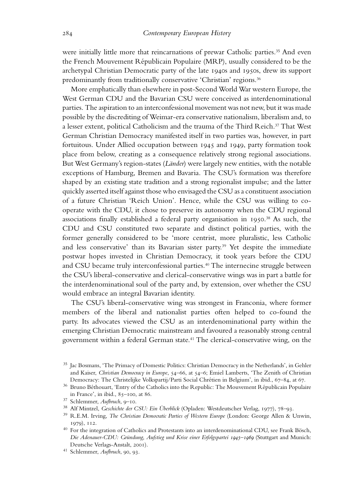were initially little more that reincarnations of prewar Catholic parties.<sup>35</sup> And even the French Mouvement Républicain Populaire (MRP), usually considered to be the archetypal Christian Democratic party of the late 1940s and 1950s, drew its support predominantly from traditionally conservative 'Christian' regions.36

More emphatically than elsewhere in post-Second World War western Europe, the West German CDU and the Bavarian CSU were conceived as interdenominational parties. The aspiration to an interconfessional movement was not new, but it was made possible by the discrediting of Weimar-era conservative nationalism, liberalism and, to a lesser extent, political Catholicism and the trauma of the Third Reich.<sup>37</sup> That West German Christian Democracy manifested itself in two parties was, however, in part fortuitous. Under Allied occupation between 1945 and 1949, party formation took place from below, creating as a consequence relatively strong regional associations. But West Germany's region-states (*Länder*) were largely new entities, with the notable exceptions of Hamburg, Bremen and Bavaria. The CSU's formation was therefore shaped by an existing state tradition and a strong regionalist impulse; and the latter quickly asserted itself against those who envisaged the CSU as a constituent association of a future Christian 'Reich Union'. Hence, while the CSU was willing to cooperate with the CDU, it chose to preserve its autonomy when the CDU regional associations finally established a federal party organisation in 1950. <sup>38</sup> As such, the CDU and CSU constituted two separate and distinct political parties, with the former generally considered to be 'more centrist, more pluralistic, less Catholic and less conservative' than its Bavarian sister party.<sup>39</sup> Yet despite the immediate postwar hopes invested in Christian Democracy, it took years before the CDU and CSU became truly interconfessional parties.<sup>40</sup> The internecine struggle between the CSU's liberal-conservative and clerical-conservative wings was in part a battle for the interdenominational soul of the party and, by extension, over whether the CSU would embrace an integral Bavarian identity.

The CSU's liberal-conservative wing was strongest in Franconia, where former members of the liberal and nationalist parties often helped to co-found the party. Its advocates viewed the CSU as an interdenominational party within the emerging Christian Democratic mainstream and favoured a reasonably strong central government within a federal German state.<sup>41</sup> The clerical-conservative wing, on the

<sup>35</sup> Jac Bosmans, 'The Primacy of Domestic Politics: Christian Democracy in the Netherlands', in Gehler and Kaiser, *Christian Democracy in Europe*, 54–66, at 54–6; Emiel Lamberts, 'The Zenith of Christian Democracy: The Christelijke Volkspartij/Parti Social Chrétien in Belgium', in ibid., 67-84, at 67.

<sup>&</sup>lt;sup>36</sup> Bruno Béthouart, 'Entry of the Catholics into the Republic: The Mouvement Républicain Populaire in France', in ibid., 85-100, at 86.

<sup>37</sup> Schlemmer, *Aufbruch*, 9–10.

<sup>&</sup>lt;sup>38</sup> Alf Mintzel, *Geschichte der CSU: Ein Überblick* (Opladen: Westdeutscher Verlag, 1977), 78–93.

<sup>&</sup>lt;sup>39</sup> R.E.M. Irving, *The Christian Democratic Parties of Western Europe* (London: George Allen & Unwin, 1979), 112.

<sup>&</sup>lt;sup>40</sup> For the integration of Catholics and Protestants into an interdenominational CDU, see Frank Bösch, Die Adenauer-CDU: Gründung, Aufstieg und Krise einer Erfolgspartei 1945–1969 (Stuttgart and Munich: Deutsche Verlags-Anstalt, 2001).

<sup>41</sup> Schlemmer, *Aufbruch*, 90, 93.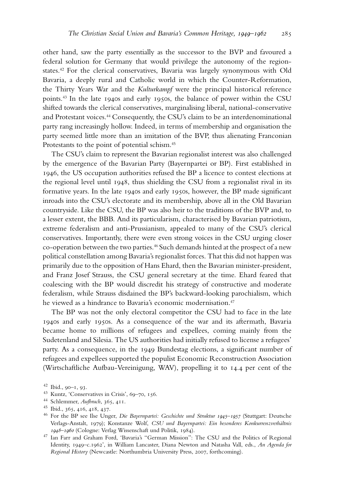other hand, saw the party essentially as the successor to the BVP and favoured a federal solution for Germany that would privilege the autonomy of the regionstates.42 For the clerical conservatives, Bavaria was largely synonymous with Old Bavaria, a deeply rural and Catholic world in which the Counter-Reformation, the Thirty Years War and the *Kulturkampf* were the principal historical reference points.43 In the late 1940s and early 1950s, the balance of power within the CSU shifted towards the clerical conservatives, marginalising liberal, national-conservative and Protestant voices.<sup>44</sup> Consequently, the CSU's claim to be an interdenominational party rang increasingly hollow. Indeed, in terms of membership and organisation the party seemed little more than an imitation of the BVP, thus alienating Franconian Protestants to the point of potential schism.<sup>45</sup>

The CSU's claim to represent the Bavarian regionalist interest was also challenged by the emergence of the Bavarian Party (Bayernpartei or BP). First established in 1946, the US occupation authorities refused the BP a licence to contest elections at the regional level until 1948, thus shielding the CSU from a regionalist rival in its formative years. In the late 1940s and early 1950s, however, the BP made significant inroads into the CSU's electorate and its membership, above all in the Old Bavarian countryside. Like the CSU, the BP was also heir to the traditions of the BVP and, to a lesser extent, the BBB. And its particularism, characterised by Bavarian patriotism, extreme federalism and anti-Prussianism, appealed to many of the CSU's clerical conservatives. Importantly, there were even strong voices in the CSU urging closer co-operation between the two parties.46 Such demands hinted at the prospect of a new political constellation among Bavaria's regionalist forces. That this did not happen was primarily due to the opposition of Hans Ehard, then the Bavarian minister-president, and Franz Josef Strauss, the CSU general secretary at the time. Ehard feared that coalescing with the BP would discredit his strategy of constructive and moderate federalism, while Strauss disdained the BP's backward-looking parochialism, which he viewed as a hindrance to Bavaria's economic modernisation.<sup>47</sup>

The BP was not the only electoral competitor the CSU had to face in the late 1940s and early 1950s. As a consequence of the war and its aftermath, Bavaria became home to millions of refugees and expellees, coming mainly from the Sudetenland and Silesia. The US authorities had initially refused to license a refugees' party. As a consequence, in the 1949 Bundestag elections, a significant number of refugees and expellees supported the populist Economic Reconstruction Association (Wirtschaftliche Aufbau-Vereinigung, WAV), propelling it to 14.4 per cent of the

 $42$  Ibid., 90–1, 93.

<sup>43</sup> Kuntz, 'Conservatives in Crisis', 69–70, 156.

<sup>44</sup> Schlemmer, *Aufbruch*, 365, 411.

<sup>45</sup> Ibid., 365, 416, 418, 437.

<sup>46</sup> For the BP see Ilse Unger, *Die Bayernpartei: Geschichte und Struktur 1945–1957* (Stuttgart: Deutsche Verlags-Anstalt, 1979); Konstanze Wolf, *CSU und Bayernpartei: Ein besonderes Konkurrenzverhaltnis ¨ 1948–1960* (Cologne: Verlag Wissenschaft und Politik, 1984).

<sup>47</sup> Ian Farr and Graham Ford, 'Bavaria's "German Mission": The CSU and the Politics of Regional Identity, 1949–c.1962', in William Lancaster, Diana Newton and Natasha Vall, eds., *An Agenda for Regional History* (Newcastle: Northumbria University Press, 2007, forthcoming).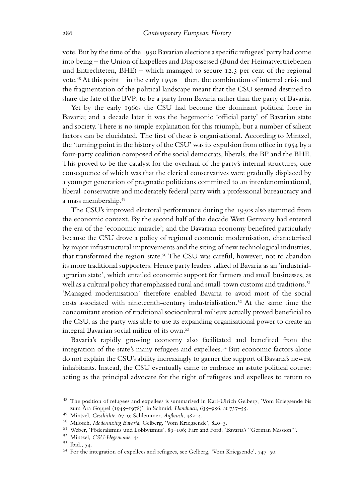vote. But by the time of the 1950 Bavarian elections a specific refugees' party had come into being – the Union of Expellees and Dispossessed (Bund der Heimatvertriebenen und Entrechteten, BHE) – which managed to secure 12.3 per cent of the regional vote.<sup>48</sup> At this point – in the early  $1950s$  – then, the combination of internal crisis and the fragmentation of the political landscape meant that the CSU seemed destined to share the fate of the BVP: to be a party from Bavaria rather than the party of Bavaria.

Yet by the early 1960s the CSU had become the dominant political force in Bavaria; and a decade later it was the hegemonic 'official party' of Bavarian state and society. There is no simple explanation for this triumph, but a number of salient factors can be elucidated. The first of these is organisational. According to Mintzel, the 'turning point in the history of the CSU' was its expulsion from office in 1954 by a four-party coalition composed of the social democrats, liberals, the BP and the BHE. This proved to be the catalyst for the overhaul of the party's internal structures, one consequence of which was that the clerical conservatives were gradually displaced by a younger generation of pragmatic politicians committed to an interdenominational, liberal-conservative and moderately federal party with a professional bureaucracy and a mass membership.49

The CSU's improved electoral performance during the 1950s also stemmed from the economic context. By the second half of the decade West Germany had entered the era of the 'economic miracle'; and the Bavarian economy benefited particularly because the CSU drove a policy of regional economic modernisation, characterised by major infrastructural improvements and the siting of new technological industries, that transformed the region-state.<sup>50</sup> The CSU was careful, however, not to abandon its more traditional supporters. Hence party leaders talked of Bavaria as an 'industrialagrarian state', which entailed economic support for farmers and small businesses, as well as a cultural policy that emphasised rural and small-town customs and traditions.<sup>51</sup> 'Managed modernisation' therefore enabled Bavaria to avoid most of the social costs associated with nineteenth-century industrialisation.<sup>52</sup> At the same time the concomitant erosion of traditional sociocultural milieux actually proved beneficial to the CSU, as the party was able to use its expanding organisational power to create an integral Bavarian social milieu of its own.53

Bavaria's rapidly growing economy also facilitated and benefited from the integration of the state's many refugees and expellees.<sup>54</sup> But economic factors alone do not explain the CSU's ability increasingly to garner the support of Bavaria's newest inhabitants. Instead, the CSU eventually came to embrace an astute political course: acting as the principal advocate for the right of refugees and expellees to return to

<sup>48</sup> The position of refugees and expellees is summarised in Karl-Ulrich Gelberg, 'Vom Kriegsende bis zum Ära Goppel (1945–1978)', in Schmid, *Handbuch*, 635–956, at 737–55.

<sup>49</sup> Mintzel, *Geschichte*, 67–9; Schlemmer, *Aufbruch*, 482–4.

<sup>50</sup> Milosch, *Modernizing Bavaria*; Gelberg, 'Vom Kriegsende', 840–3.

<sup>51</sup> Weber, 'Föderalismus und Lobbyismus', 89-106; Farr and Ford, 'Bavaria's "German Mission"'.

<sup>52</sup> Mintzel, *CSU-Hegemonie*, 44.

<sup>53</sup> Ibid., 54.

<sup>54</sup> For the integration of expellees and refugees, see Gelberg, 'Vom Kriegsende', 747–50.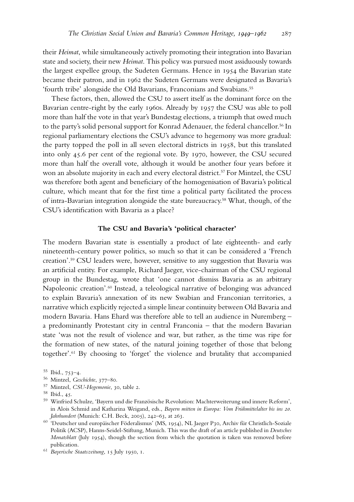their *Heimat*, while simultaneously actively promoting their integration into Bavarian state and society, their new *Heimat*. This policy was pursued most assiduously towards the largest expellee group, the Sudeten Germans. Hence in 1954 the Bavarian state became their patron, and in 1962 the Sudeten Germans were designated as Bavaria's 'fourth tribe' alongside the Old Bavarians, Franconians and Swabians.55

These factors, then, allowed the CSU to assert itself as the dominant force on the Bavarian centre-right by the early 1960s. Already by 1957 the CSU was able to poll more than half the vote in that year's Bundestag elections, a triumph that owed much to the party's solid personal support for Konrad Adenauer, the federal chancellor.<sup>56</sup> In regional parliamentary elections the CSU's advance to hegemony was more gradual: the party topped the poll in all seven electoral districts in 1958, but this translated into only 45.6 per cent of the regional vote. By 1970, however, the CSU secured more than half the overall vote, although it would be another four years before it won an absolute majority in each and every electoral district.<sup>57</sup> For Mintzel, the CSU was therefore both agent and beneficiary of the homogenisation of Bavaria's political culture, which meant that for the first time a political party facilitated the process of intra-Bavarian integration alongside the state bureaucracy.58 What, though, of the CSU's identification with Bavaria as a place?

#### **The CSU and Bavaria's 'political character'**

The modern Bavarian state is essentially a product of late eighteenth- and early nineteenth-century power politics, so much so that it can be considered a 'French creation'.59 CSU leaders were, however, sensitive to any suggestion that Bavaria was an artificial entity. For example, Richard Jaeger, vice-chairman of the CSU regional group in the Bundestag, wrote that 'one cannot dismiss Bavaria as an arbitrary Napoleonic creation'.<sup>60</sup> Instead, a teleological narrative of belonging was advanced to explain Bavaria's annexation of its new Swabian and Franconian territories, a narrative which explicitly rejected a simple linear continuity between Old Bavaria and modern Bavaria. Hans Ehard was therefore able to tell an audience in Nuremberg – a predominantly Protestant city in central Franconia – that the modern Bavarian state 'was not the result of violence and war, but rather, as the time was ripe for the formation of new states, of the natural joining together of those that belong together'.61 By choosing to 'forget' the violence and brutality that accompanied

- <sup>56</sup> Mintzel, *Geschichte*, 377–80.
- <sup>57</sup> Mintzel, *CSU-Hegemonie*, 30, table 2.
- <sup>58</sup> Ibid., 45.

<sup>55</sup> Ibid., 753–4.

<sup>&</sup>lt;sup>59</sup> Winfried Schulze, 'Bayern und die Französische Revolution: Machterweiterung und innere Reform', in Alois Schmid and Katharina Weigand, eds., *Bayern mitten in Europa: Vom Frühmittelalter bis ins 20. Jahrhundert* (Munich: C.H. Beck, 2005), 242–63, at 263.

<sup>&</sup>lt;sup>60</sup> 'Deutscher und europäischer Föderalismus' (MS, 1954), NL Jaeger P30, Archiv für Christlich-Soziale Politik (ACSP), Hanns-Seidel-Stiftung, Munich. This was the draft of an article published in *Deutsches Monatsblatt* (July 1954), though the section from which the quotation is taken was removed before publication.

<sup>61</sup> *Bayerische Staatszeitung*, 15 July 1950, 1.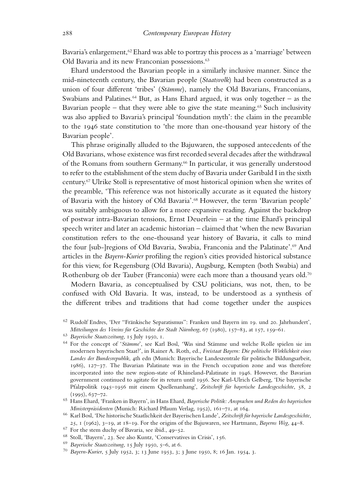Bavaria's enlargement,<sup>62</sup> Ehard was able to portray this process as a 'marriage' between Old Bavaria and its new Franconian possessions.<sup>63</sup>

Ehard understood the Bavarian people in a similarly inclusive manner. Since the mid-nineteenth century, the Bavarian people (*Staatsvolk*) had been constructed as a union of four different 'tribes' (*Stämme*), namely the Old Bavarians, Franconians, Swabians and Palatines.<sup>64</sup> But, as Hans Ehard argued, it was only together  $-$  as the Bavarian people – that they were able to give the state meaning.<sup>65</sup> Such inclusivity was also applied to Bavaria's principal 'foundation myth': the claim in the preamble to the 1946 state constitution to 'the more than one-thousand year history of the Bavarian people'.

This phrase originally alluded to the Bajuwaren, the supposed antecedents of the Old Bavarians, whose existence was first recorded several decades after the withdrawal of the Romans from southern Germany.66 In particular, it was generally understood to refer to the establishment of the stem duchy of Bavaria under Garibald I in the sixth century.67 Ulrike Stoll is representative of most historical opinion when she writes of the preamble, 'This reference was not historically accurate as it equated the history of Bavaria with the history of Old Bavaria'.68 However, the term 'Bavarian people' was suitably ambiguous to allow for a more expansive reading. Against the backdrop of postwar intra-Bavarian tensions, Ernst Deuerlein – at the time Ehard's principal speech writer and later an academic historian – claimed that 'when the new Bavarian constitution refers to the one-thousand year history of Bavaria, it calls to mind the four [sub-]regions of Old Bavaria, Swabia, Franconia and the Palatinate'.69 And articles in the *Bayern-Kurier* profiling the region's cities provided historical substance for this view, for Regensburg (Old Bavaria), Augsburg, Kempten (both Swabia) and Rothenburg ob der Tauber (Franconia) were each more than a thousand years old.<sup>70</sup>

Modern Bavaria, as conceptualised by CSU politicians, was not, then, to be confused with Old Bavaria. It was, instead, to be understood as a synthesis of the different tribes and traditions that had come together under the auspices

<sup>&</sup>lt;sup>62</sup> Rudolf Endres, 'Der "Fränkische Separatismus": Franken und Bayern im 19. und 20. Jahrhundert', *Mitteilungen des Vereins für Geschichte der Stadt Nürnberg, 67 (1980), 157–83, at 157, 159–61.* 

<sup>63</sup> *Bayerische Staatszeitung*, 15 July 1950, 1.

<sup>&</sup>lt;sup>64</sup> For the concept of '*Stämme*', see Karl Bosl, 'Was sind Stämme und welche Rolle spielen sie im modernen bayerischen Staat?', in Rainer A. Roth, ed., *Freistaat Bayern: Die politische Wirklichkeit eines Landes der Bundesrepublik*, 4th edn (Munich: Bayerische Landeszentrale fur politische Bildungsarbeit, ¨ 1986), 127–37. The Bavarian Palatinate was in the French occupation zone and was therefore incorporated into the new region-state of Rhineland-Palatinate in 1946. However, the Bavarian government continued to agitate for its return until 1956. See Karl-Ulrich Gelberg, 'Die bayerische Pfalzpolitik 1945–1956 mit einem Quellenanhang', Zeitschrift für bayerische Landesgeschichte, 58, 2 (1995), 637–72.

<sup>65</sup> Hans Ehard, 'Franken in Bayern', in Hans Ehard, *Bayerische Politik: Ansprachen und Reden des bayerischen Ministerpräsidenten* (Munich: Richard Pflaum Verlag, 1952), 161-71, at 164.

<sup>66</sup> Karl Bosl, 'Die historische Staatlichkeit der Bayerischen Lande', *Zeitschrift fur bayerische Landesgeschichte ¨* , 25, 1 (1962), 3–19, at 18–19. For the origins of the Bajuwaren, see Hartmann, *Bayerns Weg*, 44–8.

<sup>67</sup> For the stem duchy of Bavaria, see ibid., 49–52.

<sup>68</sup> Stoll, 'Bayern', 23. See also Kuntz, 'Conservatives in Crisis', 156.

<sup>69</sup> *Bayerische Staatszeitung*, 15 July 1950, 5–6, at 6.

<sup>70</sup> *Bayern-Kurier*, 5 July 1952, 3; 13 June 1953, 3; 3 June 1950, 8; 16 Jan. 1954, 3.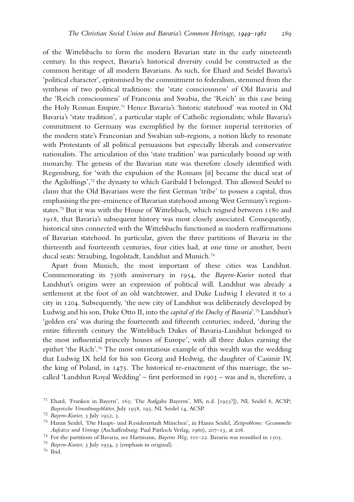of the Wittelsbachs to form the modern Bavarian state in the early nineteenth century. In this respect, Bavaria's historical diversity could be constructed as the common heritage of all modern Bavarians. As such, for Ehard and Seidel Bavaria's 'political character', epitomised by the commitment to federalism, stemmed from the synthesis of two political traditions: the 'state consciousness' of Old Bavaria and the 'Reich consciousness' of Franconia and Swabia, the 'Reich' in this case being the Holy Roman Empire.71 Hence Bavaria's 'historic statehood' was rooted in Old Bavaria's 'state tradition', a particular staple of Catholic regionalists; while Bavaria's commitment to Germany was exemplified by the former imperial territories of the modern state's Franconian and Swabian sub-regions, a notion likely to resonate with Protestants of all political persuasions but especially liberals and conservative nationalists. The articulation of this 'state tradition' was particularly bound up with monarchy. The genesis of the Bavarian state was therefore closely identified with Regensburg, for 'with the expulsion of the Romans [it] became the ducal seat of the Agilolfings',72 the dynasty to which Garibald I belonged. This allowed Seidel to claim that the Old Bavarians were the first German 'tribe' to possess a capital, thus emphasising the pre-eminence of Bavarian statehood among West Germany's regionstates.73 But it was with the House of Wittelsbach, which reigned between 1180 and 1918, that Bavaria's subsequent history was most closely associated. Consequently, historical sites connected with the Wittelsbachs functioned as modern reaffirmations of Bavarian statehood. In particular, given the three partitions of Bavaria in the thirteenth and fourteenth centuries, four cities had, at one time or another, been ducal seats: Straubing, Ingolstadt, Landshut and Munich.74

Apart from Munich, the most important of these cities was Landshut. Commemorating its 750th anniversary in 1954, the *Bayern-Kurier* noted that Landshut's origins were an expression of political will. Landshut was already a settlement at the foot of an old watchtower, and Duke Ludwig I elevated it to a city in 1204. Subsequently, 'the new city of Landshut was deliberately developed by Ludwig and his son, Duke Otto II, into the *capital of the Duchy of Bavaria*'.75 Landshut's 'golden era' was during the fourteenth and fifteenth centuries; indeed, 'during the entire fifteenth century the Wittelsbach Dukes of Bavaria-Landshut belonged to the most influential princely houses of Europe', with all three dukes earning the epithet 'the Rich'.76 The most ostentatious example of this wealth was the wedding that Ludwig IX held for his son Georg and Hedwig, the daughter of Casimir IV, the king of Poland, in 1475. The historical re-enactment of this marriage, the socalled 'Landshut Royal Wedding' – first performed in 1903 – was and is, therefore, a

<sup>71</sup> Ehard, 'Franken in Bayern', 165; 'Die Aufgabe Bayerns', MS, n.d. [1955?]), NL Seidel 8, ACSP; *Bayerische Verwaltungsblatter ¨* , July 1958, 193, NL Seidel 14, ACSP.

<sup>72</sup> *Bayern-Kurier*, 5 July 1952, 3.

<sup>73</sup> Hanns Seidel, 'Die Haupt- und Residenzstadt München', in Hanns Seidel, Zeitprobleme: Gesammelte *Aufsätze und Vorträge* (Aschaffenburg: Paul Pattloch Verlag, 1960), 207-13, at 208.

<sup>74</sup> For the partitions of Bavaria, see Hartmann, *Bayerns Weg*, 101–22. Bavaria was reunified in 1505.

<sup>75</sup> *Bayern-Kurier*, 3 July 1954, 3 (emphasis in original).

<sup>76</sup> Ibid.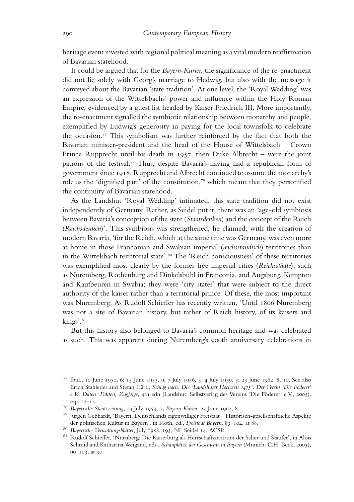heritage event invested with regional political meaning as a vital modern reaffirmation of Bavarian statehood.

It could be argued that for the *Bayern-Kurier*, the significance of the re-enactment did not lie solely with Georg's marriage to Hedwig, but also with the message it conveyed about the Bavarian 'state tradition'. At one level, the 'Royal Wedding' was an expression of the Wittelsbachs' power and influence within the Holy Roman Empire, evidenced by a guest list headed by Kaiser Friedrich III. More importantly, the re-enactment signalled the symbiotic relationship between monarchy and people, exemplified by Ludwig's generosity in paying for the local townsfolk to celebrate the occasion.77 This symbolism was further reinforced by the fact that both the Bavarian minister-president and the head of the House of Wittelsbach – Crown Prince Rupprecht until his death in 1957, then Duke Albrecht – were the joint patrons of the festival.78 Thus, despite Bavaria's having had a republican form of government since 1918, Rupprecht and Albrecht continued to assume the monarchy's role as the 'dignified part' of the constitution,<sup>79</sup> which meant that they personified the continuity of Bavarian statehood.

As the Landshut 'Royal Wedding' intimated, this state tradition did not exist independently of Germany. Rather, as Seidel put it, there was an 'age-old symbiosis between Bavaria's conception of the state (*Staatsdenken*) and the concept of the Reich (*Reichsdenken*)'. This symbiosis was strengthened, he claimed, with the creation of modern Bavaria, 'for the Reich, which at the same time was Germany, was even more at home in those Franconian and Swabian imperial *(reichsständisch)* territories than in the Wittelsbach territorial state'.80 The 'Reich consciousness' of these territories was exemplified most clearly by the former free imperial cities (*Reichsstädte*), such as Nuremberg, Rothenburg and Dinkelsbühl in Franconia, and Augsburg, Kempten and Kaufbeuren in Swabia; they were 'city-states' that were subject to the direct authority of the kaiser rather than a territorial prince. Of these, the most important was Nuremberg. As Rudolf Schieffer has recently written, 'Until 1806 Nuremberg was not a site of Bavarian history, but rather of Reich history, of its kaisers and kings'.<sup>81</sup>

But this history also belonged to Bavaria's common heritage and was celebrated as such. This was apparent during Nuremberg's 900th anniversary celebrations in

 $77$  Ibid., 10 June 1950, 6; 13 June 1953, 9; 7 July 1956, 3; 4 July 1959, 3; 23 June 1962, 8, 10. See also Erich Stahleder and Stefan Härtl, Schlag nach: Die 'Landshuter Hochzeit 1475'. Der Verein 'Die Föderer' *e.V., Daten+Fakten, Zugfolge*, 4th edn (Landshut: Selbstverlag des Vereins 'Die Föderer' e.V., 2005), esp. 12–15.

<sup>78</sup> *Bayerische Staatszeitung*, 14 July 1953, 7; *Bayern-Kurier*, 23 June 1962, 8.

<sup>79</sup> Jurgen Gebhardt, 'Bayern, Deutschlands eigenwilliger Freistaat – Historisch-gesellschaftliche Aspekte ¨ der politischen Kultur in Bayern', in Roth, ed., *Freistaat Bayern*, 83–104, at 88.

<sup>80</sup> Bayerische Verwaltungsblätter, July 1958, 193, NL Seidel 14, ACSP.

<sup>81</sup> Rudolf Schieffer, 'Nürnberg: Die Kaiserburg als Herrschaftszentrum der Salier und Staufer', in Alois Schmid and Katharina Weigand, eds., *Schauplätze der Geschichte in Bayern* (Munich: C.H. Beck, 2003), 90–103, at 90.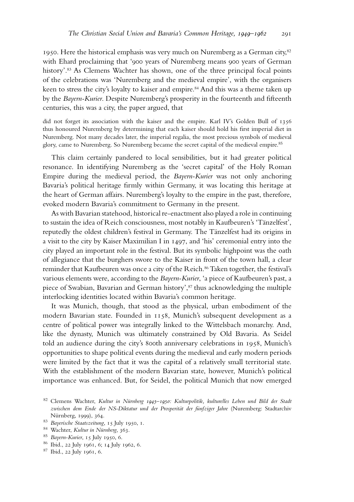1950. Here the historical emphasis was very much on Nuremberg as a German city,<sup>82</sup> with Ehard proclaiming that '900 years of Nuremberg means 900 years of German history'.<sup>83</sup> As Clemens Wachter has shown, one of the three principal focal points of the celebrations was 'Nuremberg and the medieval empire', with the organisers keen to stress the city's loyalty to kaiser and empire.<sup>84</sup> And this was a theme taken up by the *Bayern-Kurier*. Despite Nuremberg's prosperity in the fourteenth and fifteenth centuries, this was a city, the paper argued, that

did not forget its association with the kaiser and the empire. Karl IV's Golden Bull of 1356 thus honoured Nuremberg by determining that each kaiser should hold his first imperial diet in Nuremberg. Not many decades later, the imperial regalia, the most precious symbols of medieval glory, came to Nuremberg. So Nuremberg became the secret capital of the medieval empire.<sup>85</sup>

This claim certainly pandered to local sensibilities, but it had greater political resonance. In identifying Nuremberg as the 'secret capital' of the Holy Roman Empire during the medieval period, the *Bayern-Kurier* was not only anchoring Bavaria's political heritage firmly within Germany, it was locating this heritage at the heart of German affairs. Nuremberg's loyalty to the empire in the past, therefore, evoked modern Bavaria's commitment to Germany in the present.

As with Bavarian statehood, historical re-enactment also played a role in continuing to sustain the idea of Reich consciousness, most notably in Kaufbeuren's 'Tänzelfest', reputedly the oldest children's festival in Germany. The Tänzelfest had its origins in a visit to the city by Kaiser Maximilian I in 1497, and 'his' ceremonial entry into the city played an important role in the festival. But its symbolic highpoint was the oath of allegiance that the burghers swore to the Kaiser in front of the town hall, a clear reminder that Kaufbeuren was once a city of the Reich.<sup>86</sup> Taken together, the festival's various elements were, according to the *Bayern-Kurier*, 'a piece of Kaufbeuren's past, a piece of Swabian, Bavarian and German history',<sup>87</sup> thus acknowledging the multiple interlocking identities located within Bavaria's common heritage.

It was Munich, though, that stood as the physical, urban embodiment of the modern Bavarian state. Founded in 1158, Munich's subsequent development as a centre of political power was integrally linked to the Wittelsbach monarchy. And, like the dynasty, Munich was ultimately constrained by Old Bavaria. As Seidel told an audience during the city's 800th anniversary celebrations in 1958, Munich's opportunities to shape political events during the medieval and early modern periods were limited by the fact that it was the capital of a relatively small territorial state. With the establishment of the modern Bavarian state, however, Munich's political importance was enhanced. But, for Seidel, the political Munich that now emerged

- <sup>83</sup> *Bayerische Staatszeitung*, 15 July 1950, 1.
- 84 Wachter, *Kultur in Nürnberg*, 363.
- <sup>85</sup> *Bayern-Kurier*, 15 July 1950, 6.
- <sup>86</sup> Ibid., 22 July 1961, 6; 14 July 1962, 6.
- <sup>87</sup> Ibid., 22 July 1961, 6.

<sup>82</sup> Clemens Wachter, *Kultur in Nurnberg 1945–1950: Kulturpolitik, kulturelles Leben und Bild der Stadt ¨ zwischen dem Ende der NS-Diktatur und der Prosperitat der f ¨ unfziger Jahre ¨* (Nuremberg: Stadtarchiv Nürnberg, 1999), 364.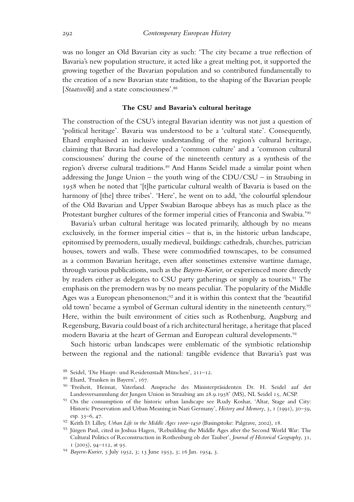was no longer an Old Bavarian city as such: 'The city became a true reflection of Bavaria's new population structure, it acted like a great melting pot, it supported the growing together of the Bavarian population and so contributed fundamentally to the creation of a new Bavarian state tradition, to the shaping of the Bavarian people [*Staatsvolk*] and a state consciousness'.88

### **The CSU and Bavaria's cultural heritage**

The construction of the CSU's integral Bavarian identity was not just a question of 'political heritage'. Bavaria was understood to be a 'cultural state'. Consequently, Ehard emphasised an inclusive understanding of the region's cultural heritage, claiming that Bavaria had developed a 'common culture' and a 'common cultural consciousness' during the course of the nineteenth century as a synthesis of the region's diverse cultural traditions.<sup>89</sup> And Hanns Seidel made a similar point when addressing the Junge Union – the youth wing of the  $CDU/CSU - in Straubing$  in 1958 when he noted that '[t]he particular cultural wealth of Bavaria is based on the harmony of [the] three tribes'. 'Here', he went on to add, 'the colourful splendour of the Old Bavarian and Upper Swabian Baroque abbeys has as much place as the Protestant burgher cultures of the former imperial cities of Franconia and Swabia.'90

Bavaria's urban cultural heritage was located primarily, although by no means exclusively, in the former imperial cities – that is, in the historic urban landscape, epitomised by premodern, usually medieval, buildings: cathedrals, churches, patrician houses, towers and walls. These were commodified townscapes, to be consumed as a common Bavarian heritage, even after sometimes extensive wartime damage, through various publications, such as the *Bayern-Kurier*, or experienced more directly by readers either as delegates to CSU party gatherings or simply as tourists.<sup>91</sup> The emphasis on the premodern was by no means peculiar. The popularity of the Middle Ages was a European phenomenon;<sup>92</sup> and it is within this context that the 'beautiful old town' became a symbol of German cultural identity in the nineteenth century.<sup>93</sup> Here, within the built environment of cities such as Rothenburg, Augsburg and Regensburg, Bavaria could boast of a rich architectural heritage, a heritage that placed modern Bavaria at the heart of German and European cultural developments.<sup>94</sup>

Such historic urban landscapes were emblematic of the symbiotic relationship between the regional and the national: tangible evidence that Bavaria's past was

<sup>88</sup> Seidel, 'Die Haupt- und Residenzstadt München', 211-12.

<sup>89</sup> Ehard, 'Franken in Bayern', 167.

 $^{90}$  'Freiheit, Heimat, Vaterland. Ansprache des Ministerpräsidenten Dr. H. Seidel auf der Landesversammlung der Jungen Union in Straubing am 28.9.1958' (MS), NL Seidel 15, ACSP.

<sup>&</sup>lt;sup>91</sup> On the consumption of the historic urban landscape see Rudy Koshar, 'Altar, Stage and City: Historic Preservation and Urban Meaning in Nazi Germany', *History and Memory*, 3, 1 (1991), 30–59, esp. 35–6, 47.

<sup>92</sup> Keith D. Lilley, *Urban Life in the Middle Ages 1000–1450* (Basingstoke: Palgrave, 2002), 18.

<sup>&</sup>lt;sup>93</sup> Jürgen Paul, cited in Joshua Hagen, 'Rebuilding the Middle Ages after the Second World War: The Cultural Politics of Reconstruction in Rothenburg ob der Tauber', *Journal of Historical Geography*, 31,  $1 (2005), 94-112, at 95.$ 

<sup>94</sup> *Bayern-Kurier*, 5 July 1952, 3; 13 June 1953, 3; 16 Jan. 1954, 3.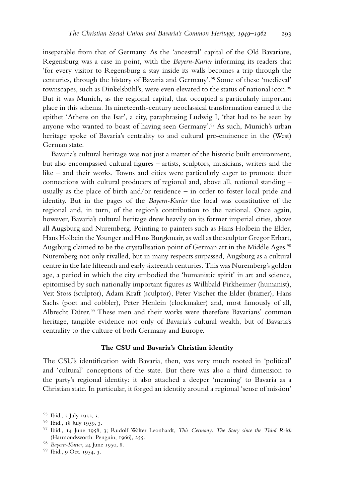inseparable from that of Germany. As the 'ancestral' capital of the Old Bavarians, Regensburg was a case in point, with the *Bayern-Kurier* informing its readers that 'for every visitor to Regensburg a stay inside its walls becomes a trip through the centuries, through the history of Bavaria and Germany'.95 Some of these 'medieval' townscapes, such as Dinkelsbühl's, were even elevated to the status of national icon.<sup>96</sup> But it was Munich, as the regional capital, that occupied a particularly important place in this schema. Its nineteenth-century neoclassical transformation earned it the epithet 'Athens on the Isar', a city, paraphrasing Ludwig I, 'that had to be seen by anyone who wanted to boast of having seen Germany'.97 As such, Munich's urban heritage spoke of Bavaria's centrality to and cultural pre-eminence in the (West) German state.

Bavaria's cultural heritage was not just a matter of the historic built environment, but also encompassed cultural figures – artists, sculptors, musicians, writers and the like – and their works. Towns and cities were particularly eager to promote their connections with cultural producers of regional and, above all, national standing – usually as the place of birth and/or residence – in order to foster local pride and identity. But in the pages of the *Bayern-Kurier* the local was constitutive of the regional and, in turn, of the region's contribution to the national. Once again, however, Bavaria's cultural heritage drew heavily on its former imperial cities, above all Augsburg and Nuremberg. Pointing to painters such as Hans Holbein the Elder, Hans Holbein the Younger and Hans Burgkmair, as well as the sculptor Gregor Erhart, Augsburg claimed to be the crystallisation point of German art in the Middle Ages.<sup>98</sup> Nuremberg not only rivalled, but in many respects surpassed, Augsburg as a cultural centre in the late fifteenth and early sixteenth centuries. This was Nuremberg's golden age, a period in which the city embodied the 'humanistic spirit' in art and science, epitomised by such nationally important figures as Willibald Pirkheimer (humanist), Veit Stoss (sculptor), Adam Kraft (sculptor), Peter Vischer the Elder (brazier), Hans Sachs (poet and cobbler), Peter Henlein (clockmaker) and, most famously of all, Albrecht Dürer.<sup>99</sup> These men and their works were therefore Bavarians' common heritage, tangible evidence not only of Bavaria's cultural wealth, but of Bavaria's centrality to the culture of both Germany and Europe.

#### **The CSU and Bavaria's Christian identity**

The CSU's identification with Bavaria, then, was very much rooted in 'political' and 'cultural' conceptions of the state. But there was also a third dimension to the party's regional identity: it also attached a deeper 'meaning' to Bavaria as a Christian state. In particular, it forged an identity around a regional 'sense of mission'

<sup>98</sup> *Bayern-Kurier*, 24 June 1950, 8.

<sup>99</sup> Ibid., 9 Oct. 1954, 3.

<sup>95</sup> Ibid., 5 July 1952, 3.

<sup>96</sup> Ibid., 18 July 1959, 3.

<sup>97</sup> Ibid., 14 June 1958, 3; Rudolf Walter Leonhardt, *This Germany: The Story since the Third Reich* (Harmondsworth: Penguin, 1966), 255.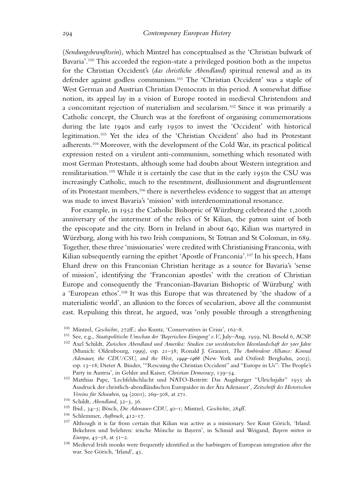(*Sendungsbewußtsein*), which Mintzel has conceptualised as the 'Christian bulwark of Bavaria'.<sup>100</sup> This accorded the region-state a privileged position both as the impetus for the Christian Occident's (*das christliche Abendland*) spiritual renewal and as its defender against godless communism.101 The 'Christian Occident' was a staple of West German and Austrian Christian Democrats in this period. A somewhat diffuse notion, its appeal lay in a vision of Europe rooted in medieval Christendom and a concomitant rejection of materialism and secularism.102 Since it was primarily a Catholic concept, the Church was at the forefront of organising commemorations during the late 1940s and early 1950s to invest the 'Occident' with historical legitimation.103 Yet the idea of the 'Christian Occident' also had its Protestant adherents.104 Moreover, with the development of the Cold War, its practical political expression rested on a virulent anti-communism, something which resonated with most German Protestants, although some had doubts about Western integration and remilitarisation.105 While it is certainly the case that in the early 1950s the CSU was increasingly Catholic, much to the resentment, disillusionment and disgruntlement of its Protestant members,106 there is nevertheless evidence to suggest that an attempt was made to invest Bavaria's 'mission' with interdenominational resonance.

For example, in  $1952$  the Catholic Bishopric of Würzburg celebrated the  $1,200$ th anniversary of the interment of the relics of St Kilian, the patron saint of both the episcopate and the city. Born in Ireland in about 640, Kilian was martyred in Würzburg, along with his two Irish companions, St Totnan and St Coloman, in 689. Together, these three 'missionaries' were credited with Christianising Franconia, with Kilian subsequently earning the epithet 'Apostle of Franconia'.107 In his speech, Hans Ehard drew on this Franconian Christian heritage as a source for Bavaria's 'sense of mission', identifying the 'Franconian apostles' with the creation of Christian Europe and consequently the 'Franconian-Bavarian Bishopric of Wurzburg' with ¨ a 'European ethos'.108 It was this Europe that was threatened by 'the shadow of a materialistic world', an allusion to the forces of secularism, above all the communist east. Repulsing this threat, he argued, was 'only possible through a strengthening

- <sup>101</sup> See, e.g., *Staatspolitische Umschau der 'Bayerischen Einigung' e.V.*, July–Aug. 1959, NL Besold 6, ACSP.
- <sup>102</sup> Axel Schildt, *Zwischen Abendland und Amerika: Studien zur westdeutschen Ideenlandschaft der 50er Jahre* (Munich: Oldenbourg, 1999), esp. 21–38; Ronald J. Granieri, *The Ambivalent Alliance: Konrad Adenauer, the CDU/CSU, and the West, 1949–1966* (New York and Oxford: Berghahn, 2003), esp. 13–18; Dieter A. Binder, '"Rescuing the Christian Occident" and "Europe in Us": The People's Party in Austria', in Gehler and Kaiser, *Christian Democracy*, 139–54.
- <sup>103</sup> Matthias Pape, 'Lechfeldschlacht und NATO-Beitritt: Das Augsburger "Ulrichsjahr" 1955 als Ausdruck der christlich-abendländischen Europaidee in der Ära Adenauer', Zeitschrift des Historischen *Vereins für Schwaben*, 94 (2001), 269-308, at 271.
- <sup>104</sup> Schildt, *Abendland*, 32–3, 36.
- <sup>105</sup> Ibid., 34-5; Bösch, Die Adenauer-CDU, 40-1; Mintzel, *Geschichte*, 284ff.
- <sup>106</sup> Schlemmer, *Aufbruch*, 412–17.
- 107 Although it is far from certain that Kilian was active as a missionary. See Knut Görich, 'Irland. Bekehren und belehren: irische Mönche in Bayern', in Schmid and Weigand, Bayern mitten in *Europa*, 45–58, at 51–2.
- <sup>108</sup> Medieval Irish monks were frequently identified as the harbingers of European integration after the war. See Görich, 'Irland', 45.

<sup>100</sup> Mintzel, *Geschichte*, 272ff.; also Kuntz, 'Conservatives in Crisis', 162–8.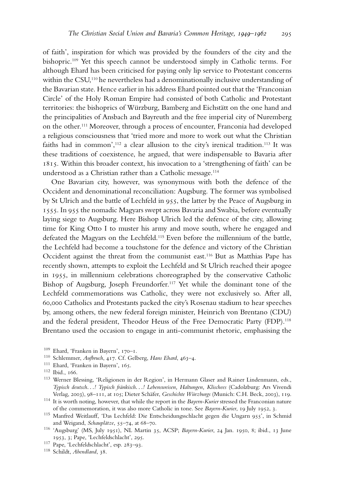of faith', inspiration for which was provided by the founders of the city and the bishopric.109 Yet this speech cannot be understood simply in Catholic terms. For although Ehard has been criticised for paying only lip service to Protestant concerns within the CSU,<sup>110</sup> he nevertheless had a denominationally inclusive understanding of the Bavarian state. Hence earlier in his address Ehard pointed out that the 'Franconian Circle' of the Holy Roman Empire had consisted of both Catholic and Protestant territories: the bishoprics of Würzburg, Bamberg and Eichstätt on the one hand and the principalities of Ansbach and Bayreuth and the free imperial city of Nuremberg on the other.111 Moreover, through a process of encounter, Franconia had developed a religious consciousness that 'tried more and more to work out what the Christian faiths had in common',<sup>112</sup> a clear allusion to the city's irenical tradition.<sup>113</sup> It was these traditions of coexistence, he argued, that were indispensable to Bavaria after 1815. Within this broader context, his invocation to a 'strengthening of faith' can be understood as a Christian rather than a Catholic message.114

One Bavarian city, however, was synonymous with both the defence of the Occident and denominational reconciliation: Augsburg. The former was symbolised by St Ulrich and the battle of Lechfeld in 955, the latter by the Peace of Augsburg in 1555. In 955 the nomadic Magyars swept across Bavaria and Swabia, before eventually laying siege to Augsburg. Here Bishop Ulrich led the defence of the city, allowing time for King Otto I to muster his army and move south, where he engaged and defeated the Magyars on the Lechfeld.115 Even before the millennium of the battle, the Lechfeld had become a touchstone for the defence and victory of the Christian Occident against the threat from the communist east.116 But as Matthias Pape has recently shown, attempts to exploit the Lechfeld and St Ulrich reached their apogee in 1955, in millennium celebrations choreographed by the conservative Catholic Bishop of Augsburg, Joseph Freundorfer.117 Yet while the dominant tone of the Lechfeld commemorations was Catholic, they were not exclusively so. After all, 60,000 Catholics and Protestants packed the city's Rosenau stadium to hear speeches by, among others, the new federal foreign minister, Heinrich von Brentano (CDU) and the federal president, Theodor Heuss of the Free Democratic Party (FDP).<sup>118</sup> Brentano used the occasion to engage in anti-communist rhetoric, emphasising the

- <sup>110</sup> Schlemmer, *Aufbruch*, 417. Cf. Gelberg, *Hans Ehard*, 463–4.
- <sup>111</sup> Ehard, 'Franken in Bayern', 165.

- <sup>113</sup> Werner Blessing, 'Religionen in der Region', in Hermann Glaser and Rainer Lindenmann, eds., *Typisch deutsch...! Typisch frankisch ¨ ...! Lebensweisen, Haltungen, Klischees* (Cadolzburg: Ars Vivendi Verlag, 2003), 98–111, at 105; Dieter Schäfer, Geschichte Würzburgs (Munich: C.H. Beck, 2003), 119.
- <sup>114</sup> It is worth noting, however, that while the report in the *Bayern-Kurier* stressed the Franconian nature of the commemoration, it was also more Catholic in tone. See *Bayern-Kurier*, 19 July 1952, 3.
- <sup>115</sup> Manfred Weitlauff, 'Das Lechfeld: Die Entscheidungsschlacht gegen die Ungarn 955', in Schmid and Weigand, *Schauplätze*, 55–74, at 68–70.
- <sup>116</sup> 'Augsburg' (MS, July 1951), NL Martin 35, ACSP; *Bayern-Kurier*, 24 Jan. 1950, 8; ibid., 13 June 1953, 3; Pape, 'Lechfeldschlacht', 295.
- <sup>117</sup> Pape, 'Lechfeldschlacht', esp. 283–93.
- <sup>118</sup> Schildt, *Abendland*, 38.

<sup>109</sup> Ehard, 'Franken in Bayern', 170–1.

<sup>112</sup> Ibid., 166.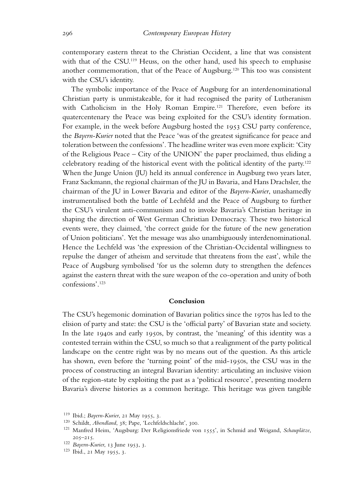contemporary eastern threat to the Christian Occident, a line that was consistent with that of the CSU.<sup>119</sup> Heuss, on the other hand, used his speech to emphasise another commemoration, that of the Peace of Augsburg.120 This too was consistent with the CSU's identity.

The symbolic importance of the Peace of Augsburg for an interdenominational Christian party is unmistakeable, for it had recognised the parity of Lutheranism with Catholicism in the Holy Roman Empire.<sup>121</sup> Therefore, even before its quatercentenary the Peace was being exploited for the CSU's identity formation. For example, in the week before Augsburg hosted the 1953 CSU party conference, the *Bayern-Kurier* noted that the Peace 'was of the greatest significance for peace and toleration between the confessions'. The headline writer was even more explicit: 'City of the Religious Peace – City of the UNION' the paper proclaimed, thus eliding a celebratory reading of the historical event with the political identity of the party.122 When the Junge Union (JU) held its annual conference in Augsburg two years later, Franz Sackmann, the regional chairman of the JU in Bavaria, and Hans Drachsler, the chairman of the JU in Lower Bavaria and editor of the *Bayern-Kurier*, unashamedly instrumentalised both the battle of Lechfeld and the Peace of Augsburg to further the CSU's virulent anti-communism and to invoke Bavaria's Christian heritage in shaping the direction of West German Christian Democracy. These two historical events were, they claimed, 'the correct guide for the future of the new generation of Union politicians'. Yet the message was also unambiguously interdenominational. Hence the Lechfeld was 'the expression of the Christian-Occidental willingness to repulse the danger of atheism and servitude that threatens from the east', while the Peace of Augsburg symbolised 'for us the solemn duty to strengthen the defences against the eastern threat with the sure weapon of the co-operation and unity of both confessions'.123

### **Conclusion**

The CSU's hegemonic domination of Bavarian politics since the 1970s has led to the elision of party and state: the CSU is the 'official party' of Bavarian state and society. In the late 1940s and early 1950s, by contrast, the 'meaning' of this identity was a contested terrain within the CSU, so much so that a realignment of the party political landscape on the centre right was by no means out of the question. As this article has shown, even before the 'turning point' of the mid-1950s, the CSU was in the process of constructing an integral Bavarian identity: articulating an inclusive vision of the region-state by exploiting the past as a 'political resource', presenting modern Bavaria's diverse histories as a common heritage. This heritage was given tangible

<sup>119</sup> Ibid.; *Bayern-Kurier*, 21 May 1955, 3.

<sup>120</sup> Schildt, *Abendland*, 38; Pape, 'Lechfeldschlacht', 300.

<sup>&</sup>lt;sup>121</sup> Manfred Heim, 'Augsburg: Der Religionsfriede von 1555', in Schmid and Weigand, *Schauplätze*, 205–215.

<sup>122</sup> *Bayern-Kurier*, 13 June 1953, 3.

<sup>123</sup> Ibid., 21 May 1955, 3.